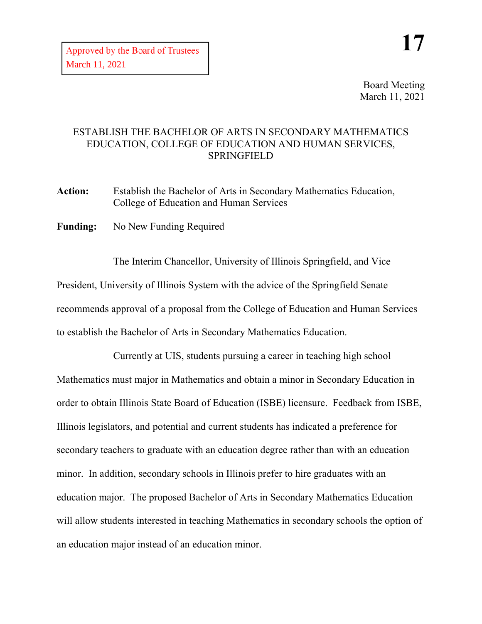Board Meeting March 11, 2021

## ESTABLISH THE BACHELOR OF ARTS IN SECONDARY MATHEMATICS EDUCATION, COLLEGE OF EDUCATION AND HUMAN SERVICES, SPRINGFIELD

**Action:** Establish the Bachelor of Arts in Secondary Mathematics Education, College of Education and Human Services

**Funding:** No New Funding Required

The Interim Chancellor, University of Illinois Springfield, and Vice President, University of Illinois System with the advice of the Springfield Senate recommends approval of a proposal from the College of Education and Human Services to establish the Bachelor of Arts in Secondary Mathematics Education.

Currently at UIS, students pursuing a career in teaching high school Mathematics must major in Mathematics and obtain a minor in Secondary Education in order to obtain Illinois State Board of Education (ISBE) licensure. Feedback from ISBE, Illinois legislators, and potential and current students has indicated a preference for secondary teachers to graduate with an education degree rather than with an education minor. In addition, secondary schools in Illinois prefer to hire graduates with an education major. The proposed Bachelor of Arts in Secondary Mathematics Education will allow students interested in teaching Mathematics in secondary schools the option of an education major instead of an education minor.